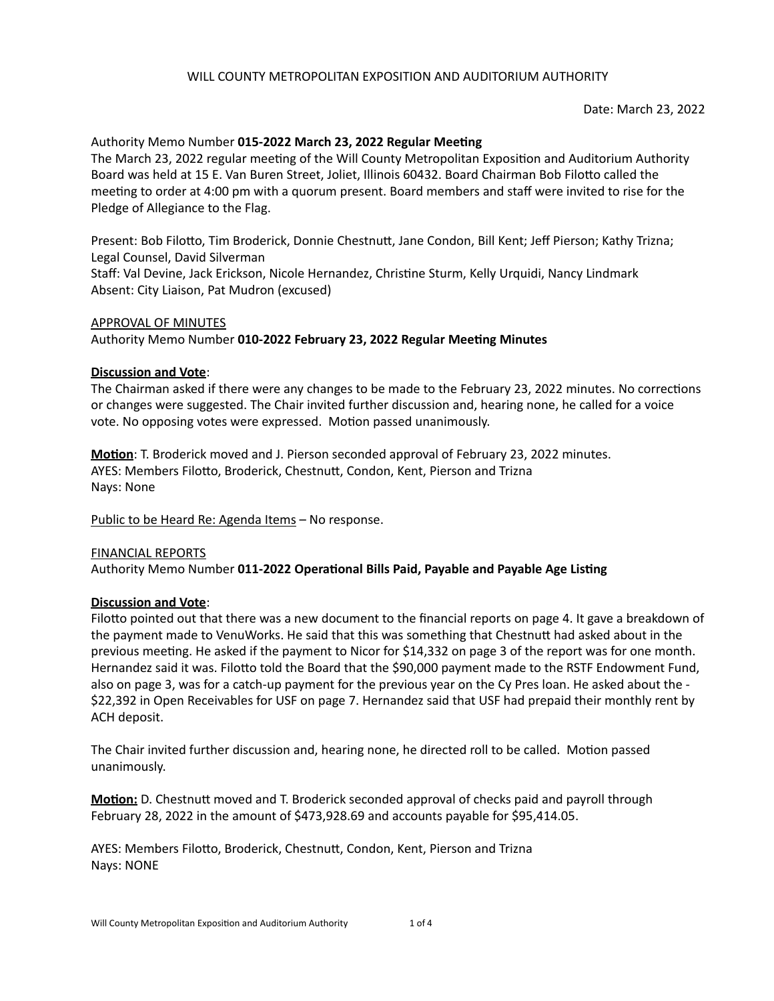### Date: March 23, 2022

# Authority Memo Number 015-2022 March 23, 2022 Regular Meeting

The March 23, 2022 regular meeting of the Will County Metropolitan Exposition and Auditorium Authority Board was held at 15 E. Van Buren Street, Joliet, Illinois 60432. Board Chairman Bob Filotto called the meeting to order at 4:00 pm with a quorum present. Board members and staff were invited to rise for the Pledge of Allegiance to the Flag.

Present: Bob Filotto, Tim Broderick, Donnie Chestnutt, Jane Condon, Bill Kent; Jeff Pierson; Kathy Trizna; Legal Counsel, David Silverman

Staff: Val Devine, Jack Erickson, Nicole Hernandez, Christine Sturm, Kelly Urquidi, Nancy Lindmark Absent: City Liaison, Pat Mudron (excused)

### APPROVAL OF MINUTES

Authority Memo Number 010-2022 February 23, 2022 Regular Meeting Minutes

### **Discussion and Vote**:

The Chairman asked if there were any changes to be made to the February 23, 2022 minutes. No corrections or changes were suggested. The Chair invited further discussion and, hearing none, he called for a voice vote. No opposing votes were expressed. Motion passed unanimously.

**Motion**: T. Broderick moved and J. Pierson seconded approval of February 23, 2022 minutes. AYES: Members Filotto, Broderick, Chestnutt, Condon, Kent, Pierson and Trizna Nays: None

Public to be Heard Re: Agenda Items - No response.

### FINANCIAL REPORTS

Authority Memo Number 011-2022 Operational Bills Paid, Payable and Payable Age Listing

### **Discussion and Vote:**

Filotto pointed out that there was a new document to the financial reports on page 4. It gave a breakdown of the payment made to VenuWorks. He said that this was something that Chestnutt had asked about in the previous meeting. He asked if the payment to Nicor for \$14,332 on page 3 of the report was for one month. Hernandez said it was. Filotto told the Board that the \$90,000 payment made to the RSTF Endowment Fund, also on page 3, was for a catch-up payment for the previous year on the Cy Pres loan. He asked about the -\$22,392 in Open Receivables for USF on page 7. Hernandez said that USF had prepaid their monthly rent by ACH deposit.

The Chair invited further discussion and, hearing none, he directed roll to be called. Motion passed unanimously.

**Motion:** D. Chestnutt moved and T. Broderick seconded approval of checks paid and payroll through February 28, 2022 in the amount of \$473,928.69 and accounts payable for \$95,414.05.

AYES: Members Filotto, Broderick, Chestnutt, Condon, Kent, Pierson and Trizna **Nays: NONE**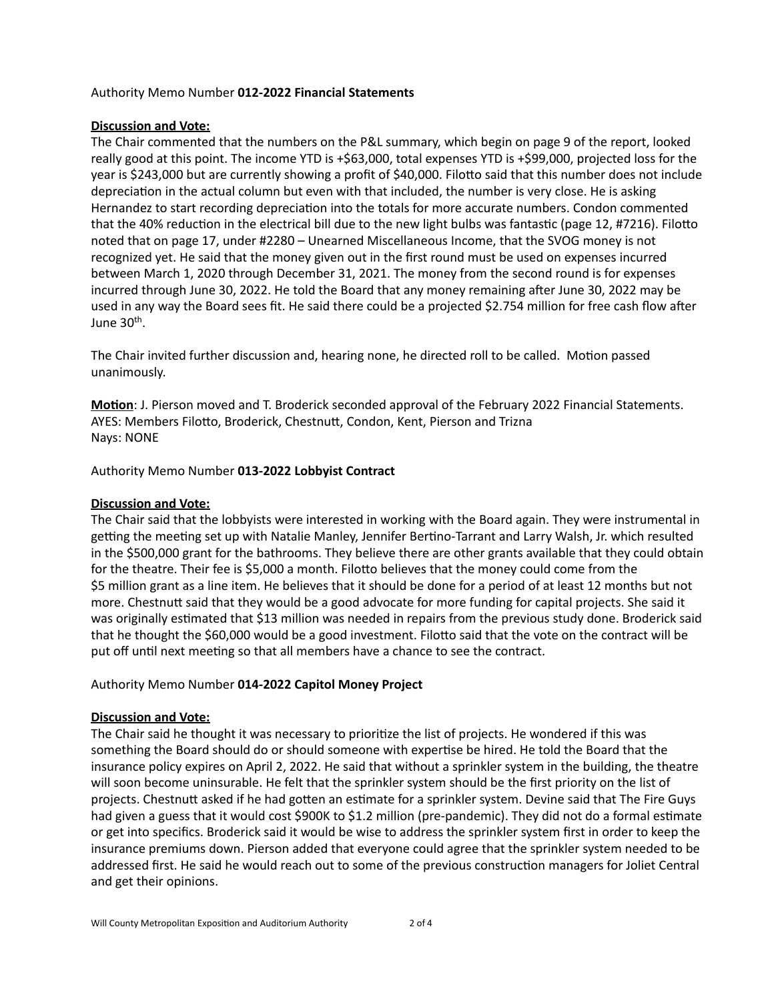### Authority Memo Number **012-2022 Financial Statements**

## **Discussion and Vote:**

The Chair commented that the numbers on the P&L summary, which begin on page 9 of the report, looked really good at this point. The income YTD is +\$63,000, total expenses YTD is +\$99,000, projected loss for the year is \$243,000 but are currently showing a profit of \$40,000. Filotto said that this number does not include depreciation in the actual column but even with that included, the number is very close. He is asking Hernandez to start recording depreciation into the totals for more accurate numbers. Condon commented that the 40% reduction in the electrical bill due to the new light bulbs was fantastic (page 12, #7216). Filotto noted that on page 17, under #2280 – Unearned Miscellaneous Income, that the SVOG money is not recognized yet. He said that the money given out in the first round must be used on expenses incurred between March 1, 2020 through December 31, 2021. The money from the second round is for expenses incurred through June 30, 2022. He told the Board that any money remaining after June 30, 2022 may be used in any way the Board sees fit. He said there could be a projected \$2.754 million for free cash flow after June  $30<sup>th</sup>$ .

The Chair invited further discussion and, hearing none, he directed roll to be called. Motion passed unanimously.

**Motion**: J. Pierson moved and T. Broderick seconded approval of the February 2022 Financial Statements. AYES: Members Filotto, Broderick, Chestnutt, Condon, Kent, Pierson and Trizna Nays: NONE

Authority Memo Number **013-2022 Lobbyist Contract**

## **Discussion and Vote:**

The Chair said that the lobbyists were interested in working with the Board again. They were instrumental in getting the meeting set up with Natalie Manley, Jennifer Bertino-Tarrant and Larry Walsh, Jr. which resulted in the \$500,000 grant for the bathrooms. They believe there are other grants available that they could obtain for the theatre. Their fee is \$5,000 a month. Filotto believes that the money could come from the \$5 million grant as a line item. He believes that it should be done for a period of at least 12 months but not more. Chestnutt said that they would be a good advocate for more funding for capital projects. She said it was originally estimated that \$13 million was needed in repairs from the previous study done. Broderick said that he thought the \$60,000 would be a good investment. Filotto said that the vote on the contract will be put off until next meeting so that all members have a chance to see the contract.

# Authority Memo Number **014-2022 Capitol Money Project**

# **Discussion and Vote:**

The Chair said he thought it was necessary to prioritize the list of projects. He wondered if this was something the Board should do or should someone with expertise be hired. He told the Board that the insurance policy expires on April 2, 2022. He said that without a sprinkler system in the building, the theatre will soon become uninsurable. He felt that the sprinkler system should be the first priority on the list of projects. Chestnutt asked if he had gotten an estimate for a sprinkler system. Devine said that The Fire Guys had given a guess that it would cost \$900K to \$1.2 million (pre-pandemic). They did not do a formal estimate or get into specifics. Broderick said it would be wise to address the sprinkler system first in order to keep the insurance premiums down. Pierson added that everyone could agree that the sprinkler system needed to be addressed first. He said he would reach out to some of the previous construction managers for Joliet Central and get their opinions.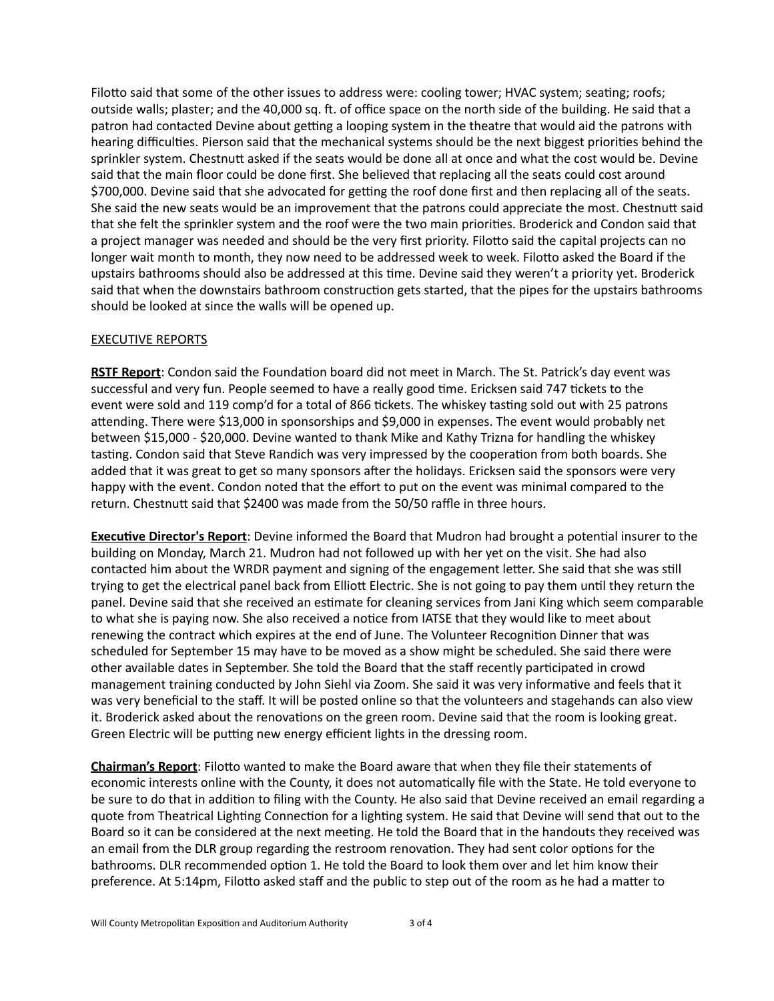Filotto said that some of the other issues to address were: cooling tower; HVAC system; seating; roofs; outside walls; plaster; and the 40,000 sq. ft. of office space on the north side of the building. He said that a patron had contacted Devine about getting a looping system in the theatre that would aid the patrons with hearing difficulties. Pierson said that the mechanical systems should be the next biggest priorities behind the sprinkler system. Chestnutt asked if the seats would be done all at once and what the cost would be. Devine said that the main floor could be done first. She believed that replacing all the seats could cost around \$700,000. Devine said that she advocated for getting the roof done first and then replacing all of the seats. She said the new seats would be an improvement that the patrons could appreciate the most. Chestnutt said that she felt the sprinkler system and the roof were the two main priorities. Broderick and Condon said that a project manager was needed and should be the very first priority. Filotto said the capital projects can no longer wait month to month, they now need to be addressed week to week. Filotto asked the Board if the upstairs bathrooms should also be addressed at this time. Devine said they weren't a priority yet. Broderick said that when the downstairs bathroom construction gets started, that the pipes for the upstairs bathrooms should be looked at since the walls will be opened up.

# **EXECUTIVE REPORTS**

**RSTF Report:** Condon said the Foundation board did not meet in March. The St. Patrick's day event was successful and very fun. People seemed to have a really good time. Ericksen said 747 tickets to the event were sold and 119 comp'd for a total of 866 tickets. The whiskey tasting sold out with 25 patrons attending. There were \$13,000 in sponsorships and \$9,000 in expenses. The event would probably net between \$15,000 - \$20,000. Devine wanted to thank Mike and Kathy Trizna for handling the whiskey tasting. Condon said that Steve Randich was very impressed by the cooperation from both boards. She added that it was great to get so many sponsors after the holidays. Ericksen said the sponsors were very happy with the event. Condon noted that the effort to put on the event was minimal compared to the return. Chestnutt said that \$2400 was made from the 50/50 raffle in three hours.

**Executive Director's Report**: Devine informed the Board that Mudron had brought a potential insurer to the building on Monday, March 21. Mudron had not followed up with her yet on the visit. She had also contacted him about the WRDR payment and signing of the engagement letter. She said that she was still trying to get the electrical panel back from Elliott Electric. She is not going to pay them until they return the panel. Devine said that she received an estimate for cleaning services from Jani King which seem comparable to what she is paying now. She also received a notice from IATSE that they would like to meet about renewing the contract which expires at the end of June. The Volunteer Recognition Dinner that was scheduled for September 15 may have to be moved as a show might be scheduled. She said there were other available dates in September. She told the Board that the staff recently participated in crowd management training conducted by John Siehl via Zoom. She said it was very informative and feels that it was very beneficial to the staff. It will be posted online so that the volunteers and stagehands can also view it. Broderick asked about the renovations on the green room. Devine said that the room is looking great. Green Electric will be putting new energy efficient lights in the dressing room.

**Chairman's Report:** Filotto wanted to make the Board aware that when they file their statements of economic interests online with the County, it does not automatically file with the State. He told everyone to be sure to do that in addition to filing with the County. He also said that Devine received an email regarding a quote from Theatrical Lighting Connection for a lighting system. He said that Devine will send that out to the Board so it can be considered at the next meeting. He told the Board that in the handouts they received was an email from the DLR group regarding the restroom renovation. They had sent color options for the bathrooms. DLR recommended option 1. He told the Board to look them over and let him know their preference. At 5:14pm, Filotto asked staff and the public to step out of the room as he had a matter to